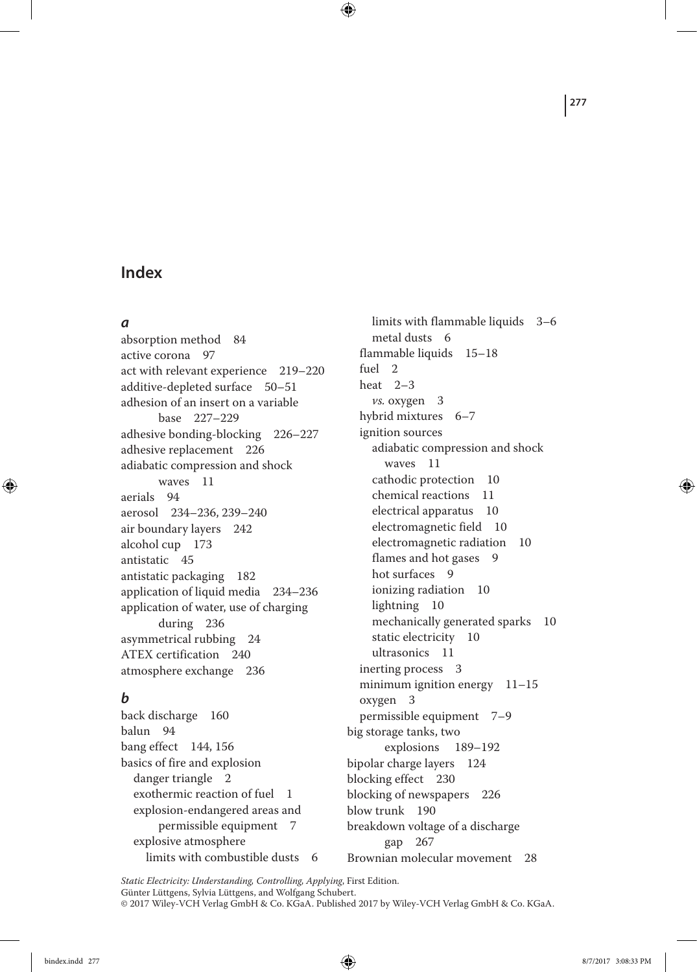### *a*

◈

absorption method 84 active corona 97 act with relevant experience 219–220 additive‐depleted surface 50–51 adhesion of an insert on a variable base 227–229 adhesive bonding‐blocking 226–227 adhesive replacement 226 adiabatic compression and shock waves 11 aerials 94 aerosol 234–236, 239–240 air boundary layers 242 alcohol cup 173 antistatic 45 antistatic packaging 182 application of liquid media 234–236 application of water, use of charging during 236 asymmetrical rubbing 24 ATEX certification 240 atmosphere exchange 236

### *b*

back discharge 160 balun 94 bang effect 144, 156 basics of fire and explosion danger triangle 2 exothermic reaction of fuel 1 explosion‐endangered areas and permissible equipment 7 explosive atmosphere limits with combustible dusts 6 gap 267

limits with flammable liquids 3–6 metal dusts 6 flammable liquids 15–18 fuel 2 heat 2–3 *vs.* oxygen 3 hybrid mixtures 6–7 ignition sources adiabatic compression and shock waves 11 cathodic protection 10 chemical reactions 11 electrical apparatus 10 electromagnetic field 10 electromagnetic radiation 10 flames and hot gases 9 hot surfaces 9 ionizing radiation 10 lightning 10 mechanically generated sparks 10 static electricity 10 ultrasonics 11 inerting process 3 minimum ignition energy 11-15 oxygen 3 permissible equipment 7–9 big storage tanks, two explosions 189–192 bipolar charge layers 124 blocking effect 230 blocking of newspapers 226 blow trunk 190 breakdown voltage of a discharge

Brownian molecular movement 28

*Static Electricity: Understanding, Controlling, Applying*, First Edition. Günter Lüttgens, Sylvia Lüttgens, and Wolfgang Schubert. © 2017 Wiley-VCH Verlag GmbH & Co. KGaA. Published 2017 by Wiley-VCH Verlag GmbH & Co. KGaA.

 $\bigoplus$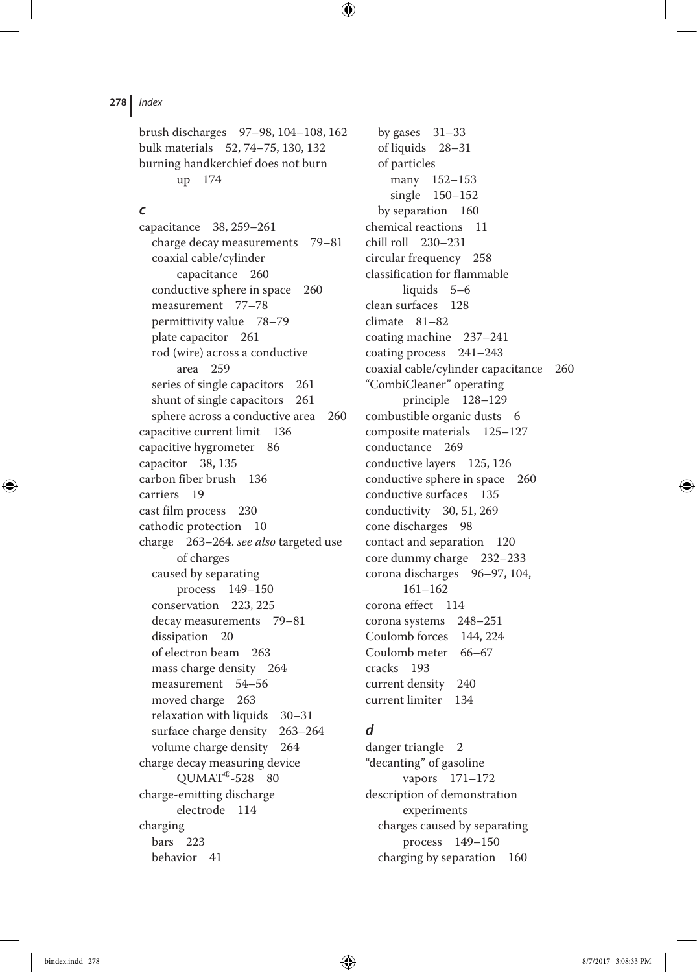brush discharges 97–98, 104–108, 162 bulk materials 52, 74–75, 130, 132 burning handkerchief does not burn up 174

 $\bigoplus$ 

#### *c*

capacitance 38, 259–261 charge decay measurements 79–81 coaxial cable/cylinder capacitance 260 conductive sphere in space 260 measurement 77–78 permittivity value 78–79 plate capacitor 261 rod (wire) across a conductive area 259 series of single capacitors 261 shunt of single capacitors 261 sphere across a conductive area 260 capacitive current limit 136 capacitive hygrometer 86 capacitor 38, 135 carbon fiber brush 136 carriers 19 cast film process 230 cathodic protection 10 charge 263–264. *see also* targeted use of charges caused by separating process 149–150 conservation 223, 225 decay measurements 79–81 dissipation 20 of electron beam 263 mass charge density 264 measurement 54–56 moved charge 263 relaxation with liquids 30–31 surface charge density 263–264 volume charge density 264 charge decay measuring device  $QUMAT^{\circledR}$ -528 80 charge‐emitting discharge electrode 114 charging bars 223 behavior 41

by gases 31–33 of liquids 28–31 of particles many 152–153 single 150–152 by separation 160 chemical reactions 11 chill roll 230–231 circular frequency 258 classification for flammable liquids 5–6 clean surfaces 128 climate 81–82 coating machine 237–241 coating process 241–243 coaxial cable/cylinder capacitance 260 "CombiCleaner" operating principle 128–129 combustible organic dusts 6 composite materials 125–127 conductance 269 conductive layers 125, 126 conductive sphere in space 260 conductive surfaces 135 conductivity 30, 51, 269 cone discharges 98 contact and separation 120 core dummy charge 232–233 corona discharges 96–97, 104, 161–162 corona effect 114 corona systems 248–251 Coulomb forces 144, 224 Coulomb meter 66–67 cracks 193 current density 240 current limiter 134

### *d*

danger triangle 2 "decanting" of gasoline vapors 171–172 description of demonstration experiments charges caused by separating process 149–150 charging by separation 160

◈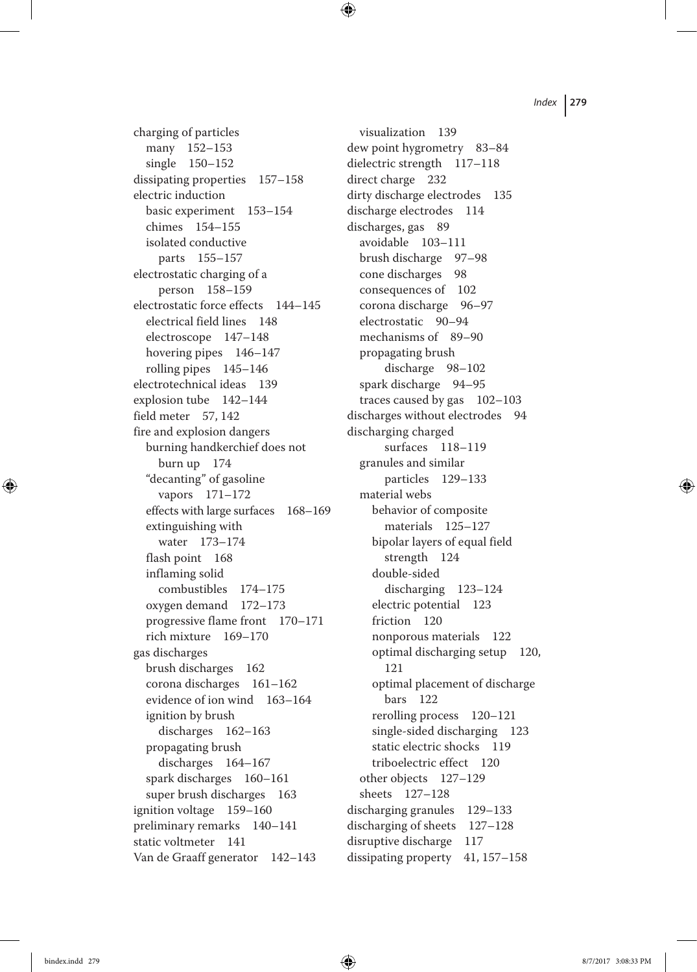charging of particles many 152–153 single 150–152 dissipating properties 157–158 electric induction basic experiment 153–154 chimes 154–155 isolated conductive parts 155–157 electrostatic charging of a person 158–159 electrostatic force effects 144–145 electrical field lines 148 electroscope 147–148 hovering pipes 146–147 rolling pipes 145–146 electrotechnical ideas 139 explosion tube 142–144 field meter 57, 142 fire and explosion dangers burning handkerchief does not burn up 174 "decanting" of gasoline vapors 171–172 effects with large surfaces 168–169 extinguishing with water 173–174 flash point 168 inflaming solid combustibles 174–175 oxygen demand 172–173 progressive flame front 170–171 rich mixture 169–170 gas discharges brush discharges 162 corona discharges 161–162 evidence of ion wind 163–164 ignition by brush discharges 162–163 propagating brush discharges 164–167 spark discharges 160–161 super brush discharges 163 ignition voltage 159–160 preliminary remarks 140–141 static voltmeter 141 Van de Graaff generator 142–143

visualization 139 dew point hygrometry 83–84 dielectric strength 117–118 direct charge 232 dirty discharge electrodes 135 discharge electrodes 114 discharges, gas 89 avoidable 103–111 brush discharge 97–98 cone discharges 98 consequences of 102 corona discharge 96–97 electrostatic 90–94 mechanisms of 89–90 propagating brush discharge 98–102 spark discharge 94–95 traces caused by gas 102–103 discharges without electrodes 94 discharging charged surfaces 118–119 granules and similar particles 129–133 material webs behavior of composite materials 125–127 bipolar layers of equal field strength 124 double‐sided discharging 123–124 electric potential 123 friction 120 nonporous materials 122 optimal discharging setup 120, 121 optimal placement of discharge bars 122 rerolling process 120–121 single-sided discharging 123 static electric shocks 119 triboelectric effect 120 other objects 127–129 sheets 127–128 discharging granules 129–133 discharging of sheets 127–128 disruptive discharge 117 dissipating property 41, 157–158

◈

bindex.indd 279 8/7/2017 3:08:33 PM

⊕

 $\bigoplus$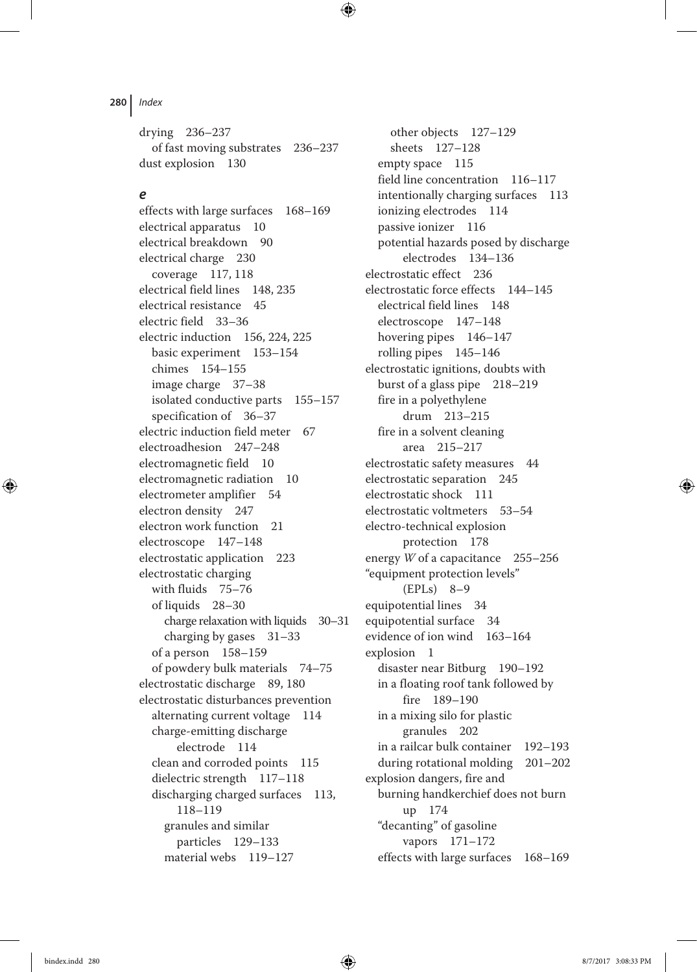drying 236–237 of fast moving substrates 236–237 dust explosion 130

 $\bigoplus$ 

#### *e*

effects with large surfaces 168–169 electrical apparatus 10 electrical breakdown 90 electrical charge 230 coverage 117, 118 electrical field lines 148, 235 electrical resistance 45 electric field 33–36 electric induction 156, 224, 225 basic experiment 153–154 chimes 154–155 image charge 37–38 isolated conductive parts 155–157 specification of 36–37 electric induction field meter 67 electroadhesion 247–248 electromagnetic field 10 electromagnetic radiation 10 electrometer amplifier 54 electron density 247 electron work function 21 electroscope 147–148 electrostatic application 223 electrostatic charging with fluids 75–76 of liquids 28–30 charge relaxation with liquids 30–31 charging by gases 31–33 of a person 158–159 of powdery bulk materials 74–75 electrostatic discharge 89, 180 electrostatic disturbances prevention alternating current voltage 114 charge‐emitting discharge electrode 114 clean and corroded points 115 dielectric strength 117–118 discharging charged surfaces 113, 118–119 granules and similar particles 129–133 material webs 119–127

other objects 127–129 sheets 127–128 empty space 115 field line concentration 116–117 intentionally charging surfaces 113 ionizing electrodes 114 passive ionizer 116 potential hazards posed by discharge electrodes 134–136 electrostatic effect 236 electrostatic force effects 144–145 electrical field lines 148 electroscope 147–148 hovering pipes 146–147 rolling pipes 145–146 electrostatic ignitions, doubts with burst of a glass pipe 218–219 fire in a polyethylene drum 213–215 fire in a solvent cleaning area 215–217 electrostatic safety measures 44 electrostatic separation 245 electrostatic shock 111 electrostatic voltmeters 53–54 electro‐technical explosion protection 178 energy *W* of a capacitance 255–256 "equipment protection levels" (EPLs) 8–9 equipotential lines 34 equipotential surface 34 evidence of ion wind 163–164 explosion 1 disaster near Bitburg 190–192 in a floating roof tank followed by fire 189–190 in a mixing silo for plastic granules 202 in a railcar bulk container 192–193 during rotational molding 201–202 explosion dangers, fire and burning handkerchief does not burn up 174 "decanting" of gasoline vapors 171–172 effects with large surfaces 168–169

⊕

bindex.indd 280 8/7/2017 3:08:33 PM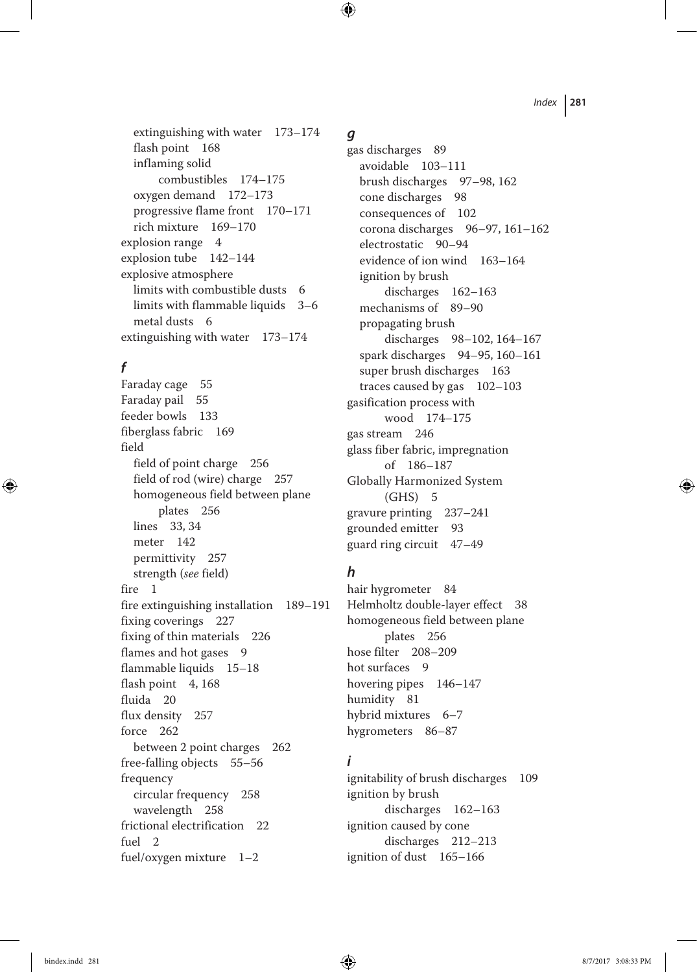extinguishing with water 173–174 flash point 168 inflaming solid combustibles 174–175 oxygen demand 172–173 progressive flame front 170–171 rich mixture 169–170 explosion range 4 explosion tube 142–144 explosive atmosphere limits with combustible dusts 6 limits with flammable liquids 3–6 metal dusts 6 extinguishing with water 173–174

# *f*

◈

Faraday cage 55 Faraday pail 55 feeder bowls 133 fiberglass fabric 169 field field of point charge 256 field of rod (wire) charge 257 homogeneous field between plane plates 256 lines 33, 34 meter 142 permittivity 257 strength (*see* field) fire 1 fire extinguishing installation 189–191 fixing coverings 227 fixing of thin materials 226 flames and hot gases 9 flammable liquids 15–18 flash point 4, 168 fluida 20 flux density 257 force 262 between 2 point charges 262 free‐falling objects 55–56 frequency circular frequency 258 wavelength 258 frictional electrification 22 fuel 2 fuel/oxygen mixture 1–2

### *g*

 $\bigoplus$ 

gas discharges 89 avoidable 103–111 brush discharges 97–98, 162 cone discharges 98 consequences of 102 corona discharges 96–97, 161–162 electrostatic 90–94 evidence of ion wind 163–164 ignition by brush discharges 162–163 mechanisms of 89–90 propagating brush discharges 98–102, 164–167 spark discharges 94–95, 160–161 super brush discharges 163 traces caused by gas 102–103 gasification process with wood 174–175 gas stream 246 glass fiber fabric, impregnation of 186–187 Globally Harmonized System (GHS) 5 gravure printing 237–241 grounded emitter 93 guard ring circuit 47–49

### *h*

hair hygrometer 84 Helmholtz double‐layer effect 38 homogeneous field between plane plates 256 hose filter 208–209 hot surfaces 9 hovering pipes 146–147 humidity 81 hybrid mixtures 6–7 hygrometers 86–87

# *i*

ignitability of brush discharges 109 ignition by brush discharges 162–163 ignition caused by cone discharges 212–213 ignition of dust 165–166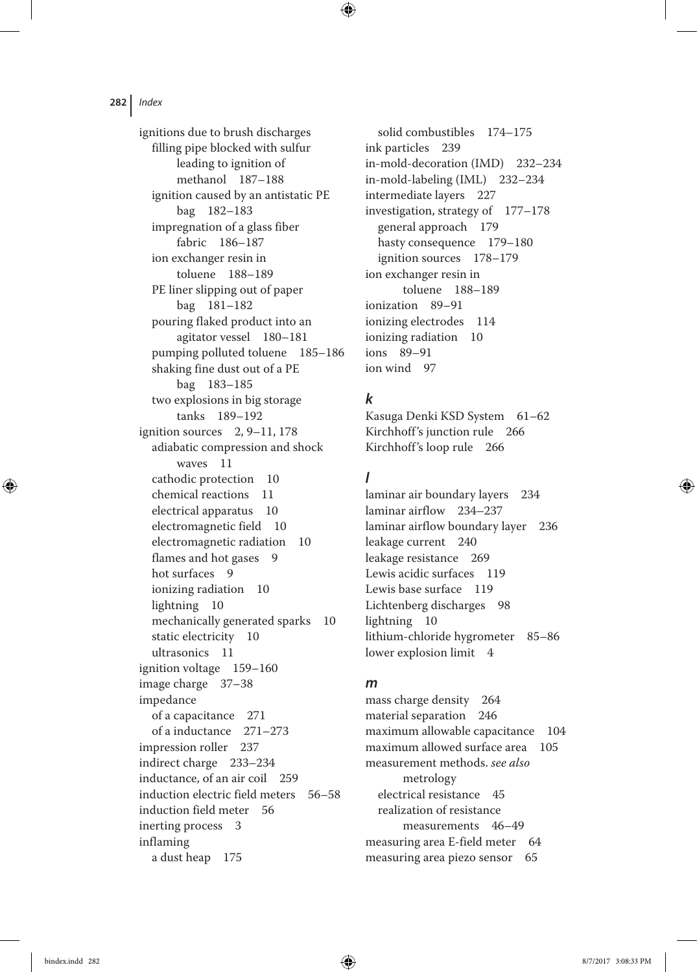ignitions due to brush discharges filling pipe blocked with sulfur leading to ignition of methanol 187–188 ignition caused by an antistatic PE bag 182–183 impregnation of a glass fiber fabric 186–187 ion exchanger resin in toluene 188–189 PE liner slipping out of paper bag 181–182 pouring flaked product into an agitator vessel 180–181 pumping polluted toluene 185–186 shaking fine dust out of a PE bag 183–185 two explosions in big storage tanks 189–192 ignition sources  $2, 9-11, 178$ adiabatic compression and shock waves 11 cathodic protection 10 chemical reactions 11 electrical apparatus 10 electromagnetic field 10 electromagnetic radiation 10 flames and hot gases 9 hot surfaces 9 ionizing radiation 10 lightning 10 mechanically generated sparks 10 static electricity 10 ultrasonics 11 ignition voltage 159–160 image charge 37–38 impedance of a capacitance 271 of a inductance 271–273 impression roller 237 indirect charge 233–234 inductance, of an air coil 259 induction electric field meters 56–58 induction field meter 56 inerting process 3 inflaming a dust heap 175

solid combustibles 174–175 ink particles 239 in‐mold‐decoration (IMD) 232–234 in‐mold‐labeling (IML) 232–234 intermediate layers 227 investigation, strategy of 177–178 general approach 179 hasty consequence 179–180 ignition sources 178–179 ion exchanger resin in toluene 188–189 ionization 89–91 ionizing electrodes 114 ionizing radiation 10 ions 89–91 ion wind 97

### *k*

 $\textcolor{black}{\textcircled{\tiny \dag}}$ 

Kasuga Denki KSD System 61–62 Kirchhoff's junction rule 266 Kirchhoff's loop rule 266

### *l*

laminar air boundary layers 234 laminar airflow 234–237 laminar airflow boundary layer 236 leakage current 240 leakage resistance 269 Lewis acidic surfaces 119 Lewis base surface 119 Lichtenberg discharges 98 lightning 10 lithium‐chloride hygrometer 85–86 lower explosion limit 4

#### *m*

mass charge density 264 material separation 246 maximum allowable capacitance 104 maximum allowed surface area 105 measurement methods. *see also* metrology electrical resistance 45 realization of resistance measurements 46–49 measuring area E-field meter 64 measuring area piezo sensor 65

◈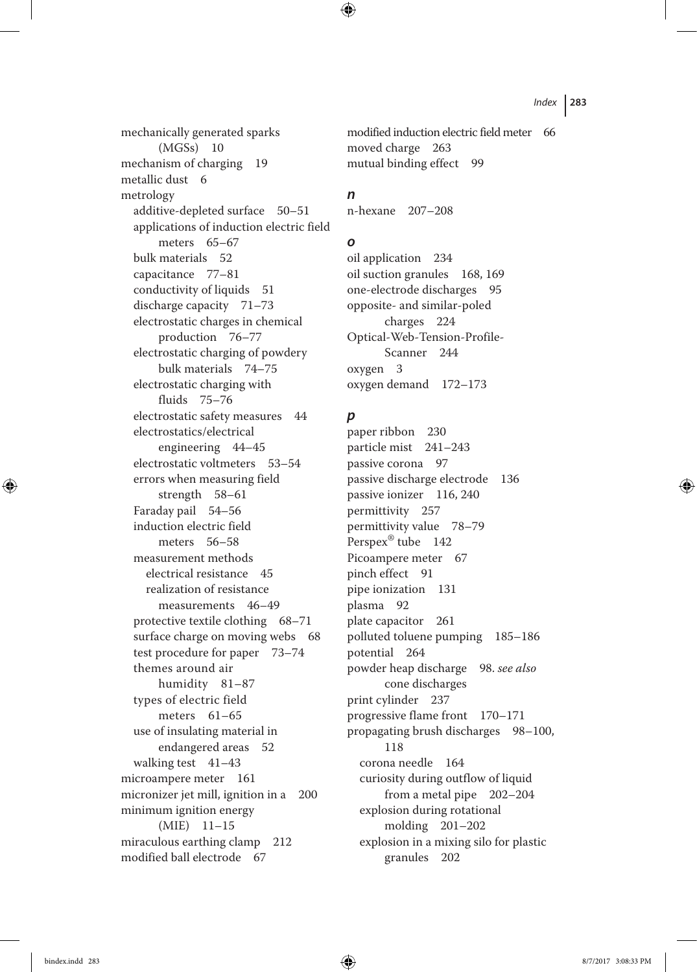mechanically generated sparks (MGSs) 10 mechanism of charging 19 metallic dust 6 metrology additive-depleted surface 50-51 applications of induction electric field meters 65–67 bulk materials 52 capacitance 77–81 conductivity of liquids 51 discharge capacity 71–73 electrostatic charges in chemical production 76–77 electrostatic charging of powdery bulk materials 74–75 electrostatic charging with fluids 75–76 electrostatic safety measures 44 electrostatics/electrical engineering 44–45 electrostatic voltmeters 53–54 errors when measuring field strength 58–61 Faraday pail 54–56 induction electric field meters 56–58 measurement methods electrical resistance 45 realization of resistance measurements 46–49 protective textile clothing 68–71 surface charge on moving webs 68 test procedure for paper 73–74 themes around air humidity 81–87 types of electric field meters 61–65 use of insulating material in endangered areas 52 walking test 41–43 microampere meter 161 micronizer jet mill, ignition in a 200 minimum ignition energy (MIE) 11–15 miraculous earthing clamp 212 modified ball electrode 67

modified induction electric field meter 66 moved charge 263 mutual binding effect 99

#### *n*

⊕

n‐hexane 207–208

#### *o*

oil application 234 oil suction granules 168, 169 one‐electrode discharges 95 opposite‐ and similar‐poled charges 224 Optical‐Web‐Tension‐Profile‐ Scanner 244 oxygen 3 oxygen demand 172–173

#### *p*

paper ribbon 230 particle mist 241–243 passive corona 97 passive discharge electrode 136 passive ionizer 116, 240 permittivity 257 permittivity value 78–79 Perspex® tube 142 Picoampere meter 67 pinch effect 91 pipe ionization 131 plasma 92 plate capacitor 261 polluted toluene pumping 185–186 potential 264 powder heap discharge 98. *see also* cone discharges print cylinder 237 progressive flame front 170–171 propagating brush discharges 98–100, 118 corona needle 164 curiosity during outflow of liquid from a metal pipe 202–204 explosion during rotational molding 201–202 explosion in a mixing silo for plastic granules 202

◈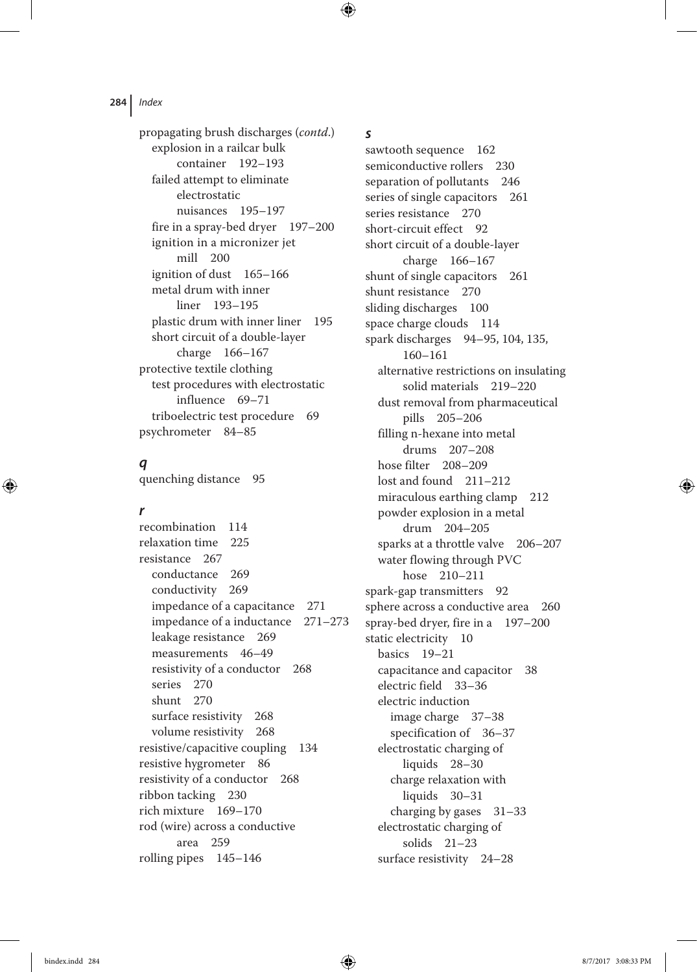propagating brush discharges (*contd*.) explosion in a railcar bulk container 192–193 failed attempt to eliminate electrostatic nuisances 195–197 fire in a spray‐bed dryer 197–200 ignition in a micronizer jet mill 200 ignition of dust 165–166 metal drum with inner liner 193–195 plastic drum with inner liner 195 short circuit of a double‐layer charge 166–167 protective textile clothing test procedures with electrostatic influence 69–71 triboelectric test procedure 69 psychrometer 84–85

# *q*

quenching distance 95

#### *r*

⊕

recombination 114 relaxation time 225 resistance 267 conductance 269 conductivity 269 impedance of a capacitance 271 impedance of a inductance 271–273 leakage resistance 269 measurements 46–49 resistivity of a conductor 268 series 270 shunt 270 surface resistivity 268 volume resistivity 268 resistive/capacitive coupling 134 resistive hygrometer 86 resistivity of a conductor 268 ribbon tacking 230 rich mixture 169–170 rod (wire) across a conductive area 259 rolling pipes 145–146

#### *s*

 $\bigoplus$ 

sawtooth sequence 162 semiconductive rollers 230 separation of pollutants 246 series of single capacitors 261 series resistance 270 short-circuit effect 92 short circuit of a double‐layer charge 166–167 shunt of single capacitors 261 shunt resistance 270 sliding discharges 100 space charge clouds 114 spark discharges 94–95, 104, 135, 160–161 alternative restrictions on insulating solid materials 219–220 dust removal from pharmaceutical pills 205–206 filling n‐hexane into metal drums 207–208 hose filter 208–209 lost and found 211–212 miraculous earthing clamp 212 powder explosion in a metal drum 204–205 sparks at a throttle valve 206–207 water flowing through PVC hose 210–211 spark‐gap transmitters 92 sphere across a conductive area 260 spray‐bed dryer, fire in a 197–200 static electricity 10 basics 19–21 capacitance and capacitor 38 electric field 33–36 electric induction image charge 37–38 specification of 36–37 electrostatic charging of liquids 28–30 charge relaxation with liquids 30–31 charging by gases 31–33 electrostatic charging of solids 21–23 surface resistivity 24–28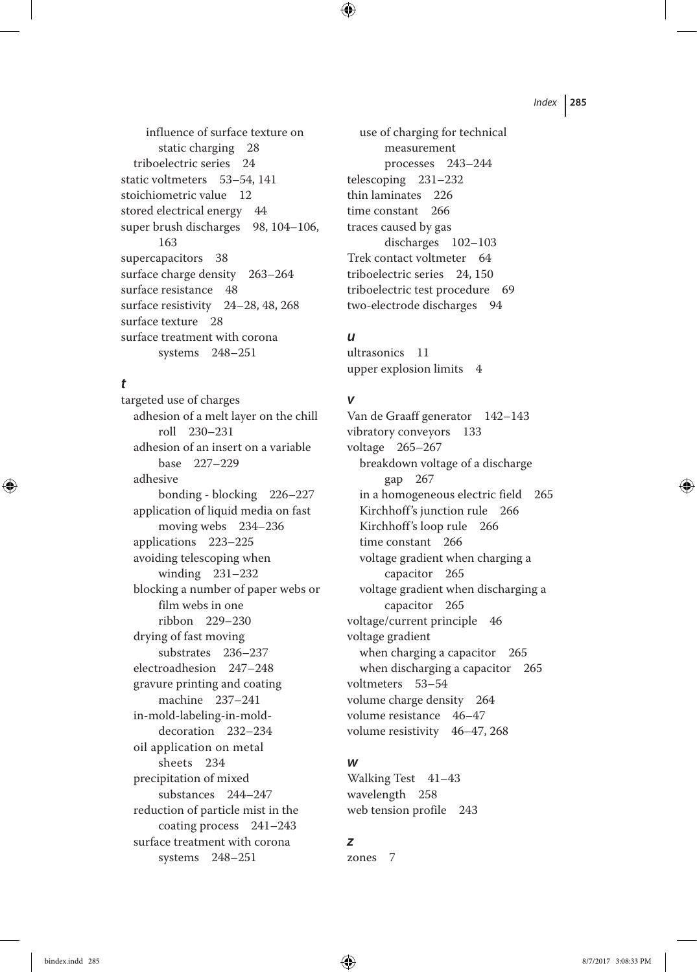influence of surface texture on static charging 28 triboelectric series 24 static voltmeters 53–54, 141 stoichiometric value 12 stored electrical energy 44 super brush discharges 98, 104-106, 163 supercapacitors 38 surface charge density 263–264 surface resistance 48 surface resistivity 24–28, 48, 268 surface texture 28 surface treatment with corona systems 248–251

### *t*

◈

targeted use of charges adhesion of a melt layer on the chill roll 230–231 adhesion of an insert on a variable base 227–229 adhesive bonding ‐ blocking 226–227 application of liquid media on fast moving webs 234–236 applications 223–225 avoiding telescoping when winding 231–232 blocking a number of paper webs or film webs in one ribbon 229–230 drying of fast moving substrates 236–237 electroadhesion 247–248 gravure printing and coating machine 237–241 in‐mold‐labeling‐in‐mold‐ decoration 232–234 oil application on metal sheets 234 precipitation of mixed substances 244–247 reduction of particle mist in the coating process 241–243 surface treatment with corona systems 248–251

use of charging for technical measurement processes 243–244 telescoping 231–232 thin laminates 226 time constant 266 traces caused by gas discharges 102–103 Trek contact voltmeter 64 triboelectric series 24, 150 triboelectric test procedure 69 two‐electrode discharges 94

### *u*

 $\bigoplus$ 

ultrasonics 11 upper explosion limits 4

#### *v*

Van de Graaff generator 142–143 vibratory conveyors 133 voltage 265–267 breakdown voltage of a discharge gap 267 in a homogeneous electric field 265 Kirchhoff's junction rule 266 Kirchhoff's loop rule 266 time constant 266 voltage gradient when charging a capacitor 265 voltage gradient when discharging a capacitor 265 voltage/current principle 46 voltage gradient when charging a capacitor 265 when discharging a capacitor 265 voltmeters 53–54 volume charge density 264 volume resistance 46–47 volume resistivity 46–47, 268

#### *w*

Walking Test 41–43 wavelength 258 web tension profile 243

#### *z*

zones 7

bindex.indd 285 8/7/2017 3:08:33 PM